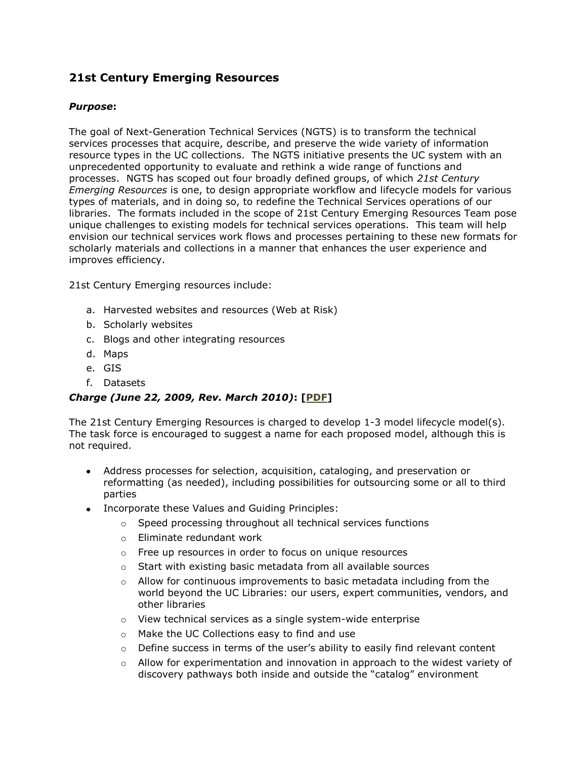# **21st Century Emerging Resources**

### *Purpose***:**

The goal of Next-Generation Technical Services (NGTS) is to transform the technical services processes that acquire, describe, and preserve the wide variety of information resource types in the UC collections. The NGTS initiative presents the UC system with an unprecedented opportunity to evaluate and rethink a wide range of functions and processes. NGTS has scoped out four broadly defined groups, of which *21st Century Emerging Resources* is one, to design appropriate workflow and lifecycle models for various types of materials, and in doing so, to redefine the Technical Services operations of our libraries. The formats included in the scope of 21st Century Emerging Resources Team pose unique challenges to existing models for technical services operations. This team will help envision our technical services work flows and processes pertaining to these new formats for scholarly materials and collections in a manner that enhances the user experience and improves efficiency.

21st Century Emerging resources include:

- a. Harvested websites and resources (Web at Risk)
- b. Scholarly websites
- c. Blogs and other integrating resources
- d. Maps
- e. GIS
- f. Datasets

## *Charge (June 22, 2009, Rev. March 2010)***: [\[PDF\]](http://libraries.universityofcalifornia.edu/about/uls/ngts/docs/charge_21st.pdf)**

The 21st Century Emerging Resources is charged to develop 1-3 model lifecycle model(s). The task force is encouraged to suggest a name for each proposed model, although this is not required.

- Address processes for selection, acquisition, cataloging, and preservation or reformatting (as needed), including possibilities for outsourcing some or all to third parties
- Incorporate these Values and Guiding Principles:
	- o Speed processing throughout all technical services functions
	- o Eliminate redundant work
	- o Free up resources in order to focus on unique resources
	- o Start with existing basic metadata from all available sources
	- $\circ$  Allow for continuous improvements to basic metadata including from the world beyond the UC Libraries: our users, expert communities, vendors, and other libraries
	- o View technical services as a single system-wide enterprise
	- o Make the UC Collections easy to find and use
	- o Define success in terms of the user's ability to easily find relevant content
	- $\circ$  Allow for experimentation and innovation in approach to the widest variety of discovery pathways both inside and outside the "catalog" environment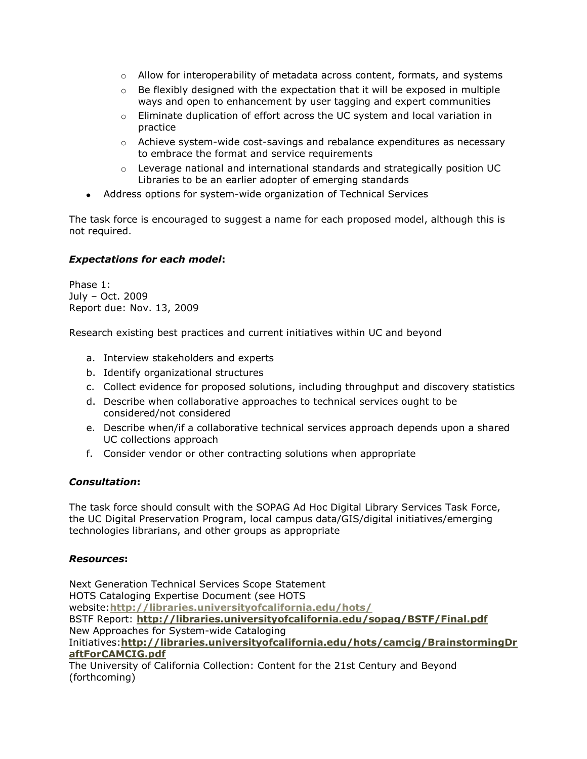- $\circ$  Allow for interoperability of metadata across content, formats, and systems
- $\circ$  Be flexibly designed with the expectation that it will be exposed in multiple ways and open to enhancement by user tagging and expert communities
- $\circ$  Eliminate duplication of effort across the UC system and local variation in practice
- $\circ$  Achieve system-wide cost-savings and rebalance expenditures as necessary to embrace the format and service requirements
- $\circ$  Leverage national and international standards and strategically position UC Libraries to be an earlier adopter of emerging standards
- Address options for system-wide organization of Technical Services

The task force is encouraged to suggest a name for each proposed model, although this is not required.

## *Expectations for each model***:**

Phase 1: July – Oct. 2009 Report due: Nov. 13, 2009

Research existing best practices and current initiatives within UC and beyond

- a. Interview stakeholders and experts
- b. Identify organizational structures
- c. Collect evidence for proposed solutions, including throughput and discovery statistics
- d. Describe when collaborative approaches to technical services ought to be considered/not considered
- e. Describe when/if a collaborative technical services approach depends upon a shared UC collections approach
- f. Consider vendor or other contracting solutions when appropriate

#### *Consultation***:**

The task force should consult with the SOPAG Ad Hoc Digital Library Services Task Force, the UC Digital Preservation Program, local campus data/GIS/digital initiatives/emerging technologies librarians, and other groups as appropriate

#### *Resources***:**

Next Generation Technical Services Scope Statement HOTS Cataloging Expertise Document (see HOTS website:**<http://libraries.universityofcalifornia.edu/hots/>** BSTF Report: **<http://libraries.universityofcalifornia.edu/sopag/BSTF/Final.pdf>** New Approaches for System-wide Cataloging Initiatives:**[http://libraries.universityofcalifornia.edu/hots/camcig/BrainstormingDr](http://libraries.universityofcalifornia.edu/hots/camcig/BrainstormingDraftForCAMCIG.pdf) [aftForCAMCIG.pdf](http://libraries.universityofcalifornia.edu/hots/camcig/BrainstormingDraftForCAMCIG.pdf)** The University of California Collection: Content for the 21st Century and Beyond (forthcoming)